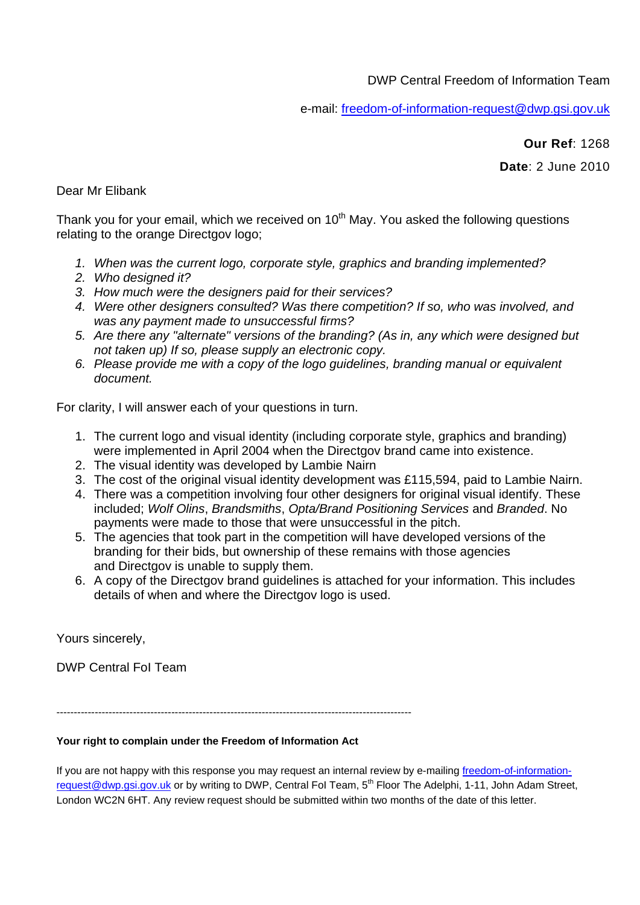DWP Central Freedom of Information Team

e-mail: freedom-of-information-request@dwp.gsi.gov.uk

**Our Ref**: 1268

**Date**: 2 June 2010

Dear Mr Elibank

Thank you for your email, which we received on 10<sup>th</sup> May. You asked the following questions relating to the orange Directgov logo;

- *1. When was the current logo, corporate style, graphics and branding implemented?*
- *2. Who designed it?*
- *3. How much were the designers paid for their services?*
- *4. Were other designers consulted? Was there competition? If so, who was involved, and was any payment made to unsuccessful firms?*
- *5. Are there any "alternate" versions of the branding? (As in, any which were designed but not taken up) If so, please supply an electronic copy.*
- *6. Please provide me with a copy of the logo guidelines, branding manual or equivalent document.*

For clarity, I will answer each of your questions in turn.

- 1. The current logo and visual identity (including corporate style, graphics and branding) were implemented in April 2004 when the Directgov brand came into existence.
- 2. The visual identity was developed by Lambie Nairn
- 3. The cost of the original visual identity development was £115,594, paid to Lambie Nairn.
- 4. There was a competition involving four other designers for original visual identify. These included; *Wolf Olins*, *Brandsmiths*, *Opta/Brand Positioning Services* and *Branded*. No payments were made to those that were unsuccessful in the pitch.
- 5. The agencies that took part in the competition will have developed versions of the branding for their bids, but ownership of these remains with those agencies and Directgov is unable to supply them.
- 6. A copy of the Directgov brand guidelines is attached for your information. This includes details of when and where the Directgov logo is used.

Yours sincerely,

DWP Central FoI Team

------------------------------------------------------------------------------------------------------

## **Your right to complain under the Freedom of Information Act**

If you are not happy with this response you may request an internal review by e-mailing freedom-of-informationrequest@dwp.gsi.gov.uk or by writing to DWP, Central FoI Team, 5<sup>th</sup> Floor The Adelphi, 1-11, John Adam Street, London WC2N 6HT. Any review request should be submitted within two months of the date of this letter.